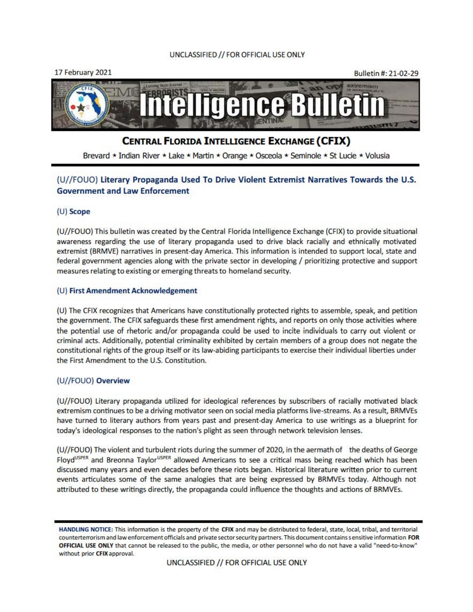



# **CENTRAL FLORIDA INTELUGENCE EXCHANGE (CFIX)**

Brevard \* Indian River \* Lake \* Martin \* Orange \* Osceola \* Seminole \* St Lucie \* Volusia

# (U//FOUO) Literary Propaganda Used To Drive Violent Extremist Narratives Towards the U.S. Government and law Enforcement

# (U) Scope

(U//FOUO) This bulletin was created by the Central Florida Intelligence Exchange (CFIX) to provide situational awareness regarding the use of literary propaganda used to drive black racially and ethnically motivated extremist (BRMVE) narratives in present-day America. This information is intended to support local, state and federal government agencies along with the private sector in developing / prioritizing protective and support measures relating to existing or emerging threats to homeland security.

# (U) First Amendment Acknowledgement

(U) The CFIX recognizes that Americans have constitutionally protected rights to assemble, speak, and petition the government. The CFIX safeguards these first amendment rights, and reports on only those activities where the potential use of rhetoric and/or propaganda could be used to incite individuals to carry out violent or criminal acts. Additionally, potential criminality exhibited by certain members of a group does not negate the constitutional rights of the group itself or its law-abiding participants to exercise their individual liberties under the First Amendment to the U.S. Constitution.

# (U//FOUO) Overview

(U//FOUO) Literary propaganda utilized for ideological references by subscribers of racially motivated black extremism continues to be a driving motivator seen on social media platforms live-streams. As a result, BRMVEs have turned to literary authors from years past and present-day America to use writings as a blueprint for today's ideological responses to the nation's plight as seen through network television lenses.

(U//FOUO) The violent and turbulent riots during the summer of 2020, in the aermath of the deaths of George Floyd<sup>USPER</sup> and Breonna Taylor<sup>uSPER</sup> allowed Americans to see a critical mass being reached which has been discussed many years and even decades before these riots began. Historical literature written prior to current events articulates some of the same analogies that are being expressed by BRMVEs today. Although not attributed to these writings directly, the propaganda could influence the thoughts and actions of BRMVEs.

**HANDLING NOTICE: This information is the property of the CFIX and may be distributed to federal, state, local, tribal, and territorial counterterrorism and la\V enforcement officials and private sector security partners. This document contains sensitive information FOR OFFICIAL USE ONLY that cannot be released to the public, the media, or other personnel who do not have a valid "need·to·know" \Vithout prior CFIX approval.**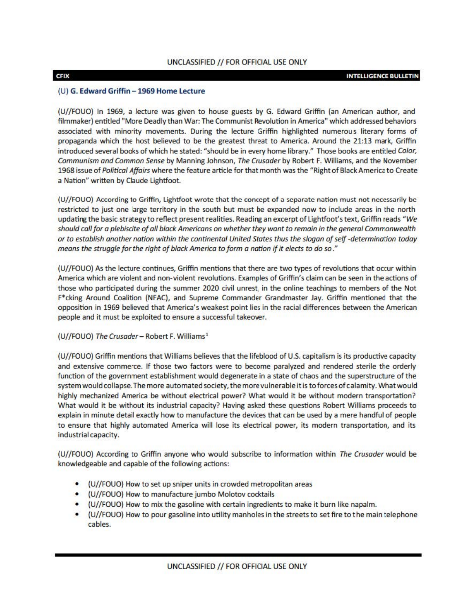# (U) G. Edward Griffin - 1969 Home Lecture

{U//FOUO) In 1969, a lecture was given to house guests by G. Edward Griffin (an American author, and filmmaker) entitled "More Deadly than War: The Communist Revolution in America" which addressed behaviors associated with minority movements. During the lecture Griffin highlighted numerous literary forms of propaganda which the host believed to be the greatest threat to America. Around the 21:13 mark, Griffin introduced several books of which he stated: "should be in every home library." Those books are entitled *Color, Communism ond Common Sense* by Manning Johnson, *The Crusader* by Robert F. Will iams, and the November 1968 issue of *Political Affairs* where the feature article for that month was the "Right of Black America to Create a Nation" written by Claude Lightfoot.

(U//FOUO) According to Griffin, Lightfoot wrote that the concept of a separate nation must not necessarily be restricted to just one large territory in the south but must be expanded now to include areas in the north updating the basic strategy to reflect present realities. Reading an excerpt of Lightfoot's text, Griffin reads "We *should call for a plebiscite of all black Americans on whether they want to remain in the general Commonwealth or to establish another nation within the continental United States thus the slogan of self -determination today means the struggle for the right of black America to form a nation* if *it elects to do so ."* 

(U//FOUO) As the lecture continues, Griffin mentions that there are two types of revolutions that occur within America which are violent and non-violent revolutions. Examples of Griffin's claim can be seen in the actions of t hose who participated during the summer 2020 civil unrest, in the online teachings to members of the Not F•cking Around Coalition (NFAC), and Supreme Commander Grandmaster Jay. Griffin mentioned that the opposition in 1969 believed that America's weakest point lies in the racial differences between the American people and it must be exploited to ensure a successful takeover.

(U//FOUO) The Crusader - Robert F. Williams<sup>1</sup>

{U//FOUO) Griffin mentions that Williams believes that the lifeblood of U.S. capitalism is its productive capacity and extensive commerce. If those two factors were to become paralyzed and rendered sterile the orderly function of the government establishment would degenerate in a state of chaos and the superstructure of the system would collapse. The more automated society, the more vulnerable it is to forces of calamity. What would highly mechanized America be without electrical power? What would it be without modern transportation? What would it be without its industrial capacity? Having asked these questions Robert Williams proceeds to explain in minute detail exactly how to manufacture the devices that can be used by a mere handful of people to ensure that highly automated America will lose its electrical power, its modern transportation, and its industrial capacity.

{U//FOUO) According to Griffin anyone who would subscribe to information within *The Crusader* would be knowledgeable and capable of the following actions:

- (U//FOUO) How to set up sniper units in crowded metropolitan areas
- (U//FOUO) How to manufacture jumbo Molotov cocktails
- (U//FOUO) How to mix the gasoline with certain ingredients to make it burn like napalm.
- (U//FOUO) How to pour gasoline into utility manholes in the streets to set fire tot he main telephone cables.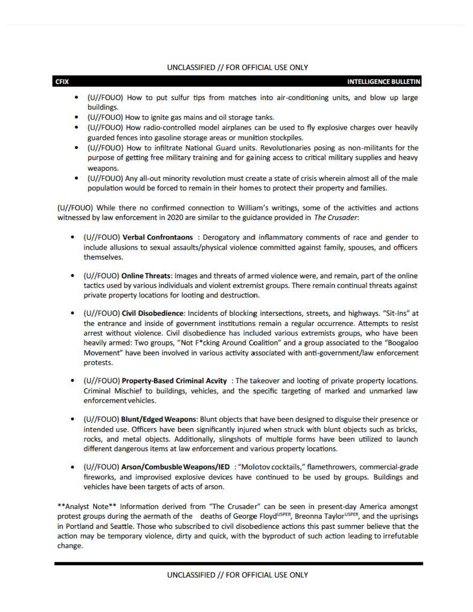#### CFIX INTELLIGENCE BULLETIN

- (U//FOUO) How to put sulfur tips from matches into air-conditioning units, and blow up large buildings.
- (U//FOUO) How to ignite gas mains and oil storage tanks.
- (U//FOUO) How radio-controlled model airplanes can be used to fly explosive charges over heavily guarded fences into gasoline storage areas or munition stockpiles.
- (U//FOUO) How to infiltrate National Guard units. Revolutionaries posing as non-militants for the purpose of getting free military training and for gaining access to critical military supplies and heavy weapons.
- (U//FOUO) Any all-out minority revolution must create a state of crisis wherein almost all of the male population would be forced to remain in their homes to protect their property and families.

(U//FOUO) While there no confirmed connection to William's writings, some of the activities and actions witnessed by law enforcement in 2020 are similar to the guidance provided in The Crusader:

- (U//FOUO) Verbal Confrontaons : Derogatory and inflammatory comments of race and gender to include allusions to sexual assaults/physical violence committed against family, spouses, and officers themselves.
- (U//FOUO) Online Threats: Images and threats of armed violence were, and remain, part of the online tactics used by various individuals and violent extremist groups. There remain continual threats against private property locations for looting and destruction.
- (U//FOUO) Civil Disobedience: Incidents of blocking intersections, streets, and highways. "Sit-Ins" at the entrance and inside of government institutions remain a regular occurrence. Attempts to resist arrest without violence. Civil disobedience has included various extremists groups, who have been heavily armed: Two groups, "Not F\*cking Around Coalition" and a group associated to the "Boogaloo Movement" have been involved in various activity associated with anti-government/ law enforcement protests.
- (U//FOUO) Property-Based Criminal Acvity : The takeover and looting of private property locations. Criminal Mischief to buildings, vehicles, and the specific targeting of marked and unmarked law enforcement vehicles.
- (U//FOUO) Blunt/Edged Weapons: Blunt objects that have been designed to disguise their presence or intended use. Officers have been significantly injured when struck with blunt objects such as bricks, rocks, and metal objects. Additionally, slingshots of multiple forms have been utilized to launch different dangerous items at law enforcement and various property locations.
- (U//FOUO) Arson/Combusble Weapons/IED : "Molotov cocktails," flamethrowers, commercial-grade fireworks, and improvised explosive devices have continued to be used by groups. Buildings and vehicles have been targets of acts of arson.

\*\*Analyst Note\*\* Information derived from "The Crusader" can be seen in present-day America amongst protest groups during the aermath of the deaths of George Floyd<sup>USPER</sup>, Breonna Taylor<sup>USPER</sup>, and the uprisings in Portland and Seattle. Those who subscribed to civil disobedience actions this past summer believe that the action may be temporary violence, dirty and quick, with the byproduct of such action leading to irrefutable change.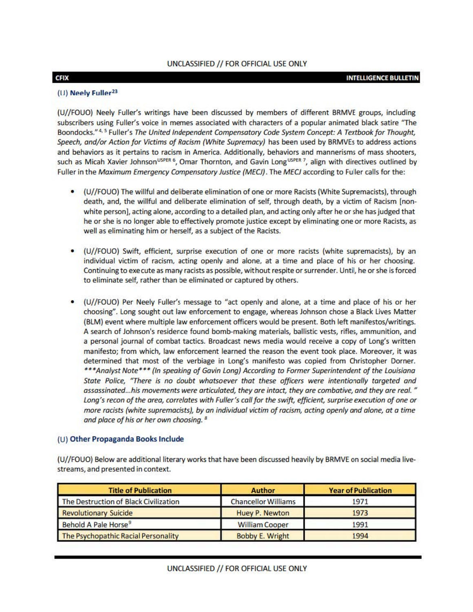### CFIX INTELLIGENCE BULLETIN

# (U) Neely Fuller<sup>23</sup>

(U//FOUO) Neely Fuller's writings have been discussed by members of different BRMVE groups, including subscribers using Fuller's voice in memes associated with characters of a popular animated black satire "The Boondocks."<sup>4, 5</sup> Fuller's *The United Independent Compensatory Code System Concept: A Textbook for Thought*, Speech, and/or Action for Victims of Racism (White Supremacy) has been used by BRMVEs to address actions and behaviors as it pertains to racism in America. Additionally, behaviors and mannerisms of mass shooters, such as Micah Xavier Johnson<sup>usper 6</sup>, Omar Thornton, and Gavin Long<sup>usper</sup>, align with directives outlined by Fuller in the *Maximum Emergency Compensatory Justice (MECJ)*. The *MECJ* according to Fuller calls for the:

- (U//FOUO) The willful and deliberate elimination of one or more Racists (White Supremacists), through death, and, the willful and deliberate elimination of self, through death, by a victim of Racism [nonwhite person], acting alone, according to a detailed plan, and acting only after he or she has judged that he or she is no longer able to effectively promote justice except by eliminating one or more Racists, as well as eliminating him or herself, as a subject of the Racists.
- (U//FOUO) Swift, efficient, surprise execution of one or more racists (white supremacists), by an individual victim of racism, acting openly and alone, at a time and place of his or her choosing. Continuing to execute as many racists as possible, without respite or surrender. Until, he or she is forced to eliminate self, rather than be eliminated or captured by others.
- (U//FOUO) Per Neely Fuller's message to "act openly and alone, at a time and place of his or her choosing". Long sought out law enforcement to engage, whereas Johnson chose a Black Lives Matter (BLM) event where multiple law enforcement officers would be present. Both left manifestos/writings. A search of Johnson's residence found bomb-making materials, ballistic vests, rifles, ammunition, and a personal journal of combat tactics. Broadcast news media would receive a copy of Long's written manifesto; from which, law enforcement learned the reason the event took place. Moreover, it was determined that most of the verbiage in Long's manifesto was copied from Christopher Dorner. *... Analyst Nate• .. (In speaking of Gavin Long) According to Former Superintendent of the Louisiana State Pa/ice, "There is no doubt whatsoever that these officers were intentionally targeted and assassinated ... his movements were articulated, they are intact, they are combative, and they are real.* " Long's recon of the area, correlates with Fuller's call for the swift, efficient, surprise execution of one or *more racists (white supremadsts), by an individual victim of racism, acting openly and alone, at a time and place of his or her own choosing. 8*

# (U) Other Propaganda Books Include

(U//FOUO) Below are additional literary works that have been discussed heavily by BRMVE on social media livestreams, and presented in context.

| <b>Title of Publication</b>           | Author                     | <b>Year of Publication</b> |
|---------------------------------------|----------------------------|----------------------------|
| The Destruction of Black Civilization | <b>Chancellor Williams</b> | 1971                       |
| <b>Revolutionary Suicide</b>          | <b>Huey P. Newton</b>      | 1973                       |
| Behold A Pale Horse <sup>9</sup>      | <b>William Cooper</b>      | 1991                       |
| The Psychopathic Racial Personality   | <b>Bobby E. Wright</b>     | 1994                       |